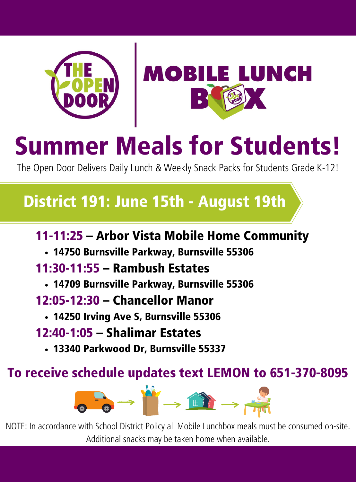



# Summer Meals for Students!

The Open Door Delivers Daily Lunch & Weekly Snack Packs for Students Grade K-12!

### District 191: June 15th - August 19th

### 11-11:25 – Arbor Vista Mobile Home Community

14750 Burnsville Parkway, Burnsville 55306

### 11:30-11:55 – Rambush Estates

14709 Burnsville Parkway, Burnsville 55306

### 12:05-12:30 – Chancellor Manor

- 14250 Irving Ave S, Burnsville 55306
- 12:40-1:05 Shalimar Estates
	- 13340 Parkwood Dr, Burnsville 55337

### To receive schedule updates text LEMON to 651-370-8095



NOTE: In accordance with School District Policy all Mobile Lunchbox meals must be consumed on-site. Additional snacks may be taken home when available.